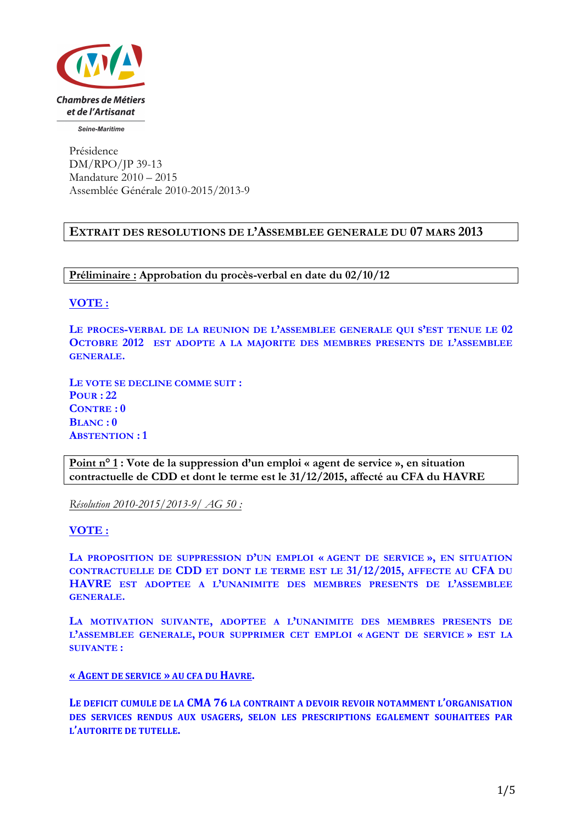

Seine-Maritime

Présidence DM/RPO/JP 39-13 Mandature 2010 – 2015 Assemblée Générale 2010-2015/2013-9

## **EXTRAIT DES RESOLUTIONS DE L'ASSEMBLEE GENERALE DU 07 MARS 2013**

**Préliminaire : Approbation du procès-verbal en date du 02/10/12**

**VOTE :**

**LE PROCES-VERBAL DE LA REUNION DE L'ASSEMBLEE GENERALE QUI S'EST TENUE LE 02 OCTOBRE 2012 EST ADOPTE A LA MAJORITE DES MEMBRES PRESENTS DE L'ASSEMBLEE GENERALE.**

**LE VOTE SE DECLINE COMME SUIT : POUR : 22 CONTRE : 0 BLANC : 0 ABSTENTION : 1**

**Point n° 1 : Vote de la suppression d'un emploi « agent de service », en situation contractuelle de CDD et dont le terme est le 31/12/2015, affecté au CFA du HAVRE**

*Résolution 2010-2015/2013-9/ AG 50 :* 

**VOTE :**

**LA PROPOSITION DE SUPPRESSION D'UN EMPLOI « AGENT DE SERVICE », EN SITUATION CONTRACTUELLE DE CDD ET DONT LE TERME EST LE 31/12/2015, AFFECTE AU CFA DU HAVRE EST ADOPTEE A L'UNANIMITE DES MEMBRES PRESENTS DE L'ASSEMBLEE GENERALE.**

**LA MOTIVATION SUIVANTE, ADOPTEE A L'UNANIMITE DES MEMBRES PRESENTS DE L'ASSEMBLEE GENERALE, POUR SUPPRIMER CET EMPLOI « AGENT DE SERVICE » EST LA SUIVANTE :**

**« AGENT DE SERVICE » AU CFA DU HAVRE.**

LE DEFICIT CUMULE DE LA CMA 76 LA CONTRAINT A DEVOIR REVOIR NOTAMMENT L'ORGANISATION **DES SERVICES RENDUS AUX USAGERS, SELON LES PRESCRIPTIONS EGALEMENT SOUHAITEES PAR L'AUTORITE DE TUTELLE.**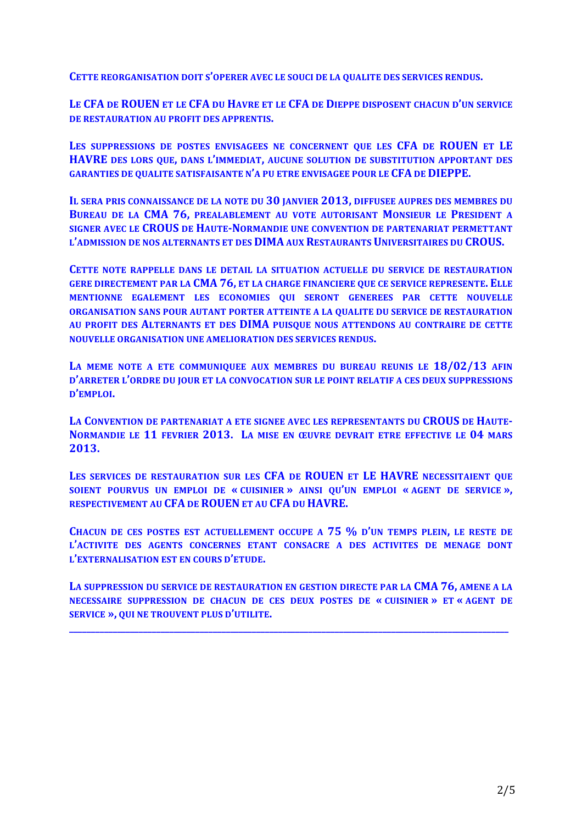**CETTE REORGANISATION DOIT S'OPERER AVEC LE SOUCI DE LA QUALITE DES SERVICES RENDUS.** 

LE CFA DE ROUEN ET LE CFA DU HAVRE ET LE CFA DE DIEPPE DISPOSENT CHACUN D'UN SERVICE **DE RESTAURATION AU PROFIT DES APPRENTIS.** 

LES SUPPRESSIONS DE POSTES ENVISAGEES NE CONCERNENT QUE LES CFA DE ROUEN ET LE **HAVRE** DES LORS QUE, DANS L'IMMEDIAT, AUCUNE SOLUTION DE SUBSTITUTION APPORTANT DES **GARANTIES DE OUALITE SATISFAISANTE N'A PU ETRE ENVISAGEE POUR LE CFA DE DIEPPE.** 

**IL SERA PRIS CONNAISSANCE DE LA NOTE DU 30 JANVIER 2013, DIFFUSEE AUPRES DES MEMBRES DU BUREAU DE LA CMA 76, PREALABLEMENT AU VOTE AUTORISANT MONSIEUR LE PRESIDENT A SIGNER AVEC LE CROUS DE HAUTE-NORMANDIE UNE CONVENTION DE PARTENARIAT PERMETTANT** L'ADMISSION DE NOS ALTERNANTS ET DES **DIMA** AUX RESTAURANTS UNIVERSITAIRES DU CROUS.

**CETTE NOTE RAPPELLE DANS LE DETAIL LA SITUATION ACTUELLE DU SERVICE DE RESTAURATION GERE DIRECTEMENT PAR LA CMA 76, ET LA CHARGE FINANCIERE QUE CE SERVICE REPRESENTE. ELLE MENTIONNE EGALEMENT LES ECONOMIES QUI SERONT GENEREES PAR CETTE NOUVELLE ORGANISATION SANS POUR AUTANT PORTER ATTEINTE A LA QUALITE DU SERVICE DE RESTAURATION** AU PROFIT DES ALTERNANTS ET DES **DIMA** PUISQUE NOUS ATTENDONS AU CONTRAIRE DE CETTE **NOUVELLE ORGANISATION UNE AMELIORATION DES SERVICES RENDUS.** 

LA MEME NOTE A ETE COMMUNIQUEE AUX MEMBRES DU BUREAU REUNIS LE  $18/02/13$  AFIN D'ARRETER L'ORDRE DU JOUR ET LA CONVOCATION SUR LE POINT RELATIF A CES DEUX SUPPRESSIONS **D'EMPLOI.**

LA CONVENTION DE PARTENARIAT A ETE SIGNEE AVEC LES REPRESENTANTS DU CROUS DE HAUTE-**NORMANDIE LE 11 FEVRIER 2013. LA MISE EN ŒUVRE DEVRAIT ETRE EFFECTIVE LE 04 MARS 2013.**

LES SERVICES DE RESTAURATION SUR LES CFA DE ROUEN ET LE HAVRE NECESSITAIENT QUE **SOIENT POURVUS UN EMPLOI DE « CUISINIER » AINSI QU'UN EMPLOI « AGENT DE SERVICE », RESPECTIVEMENT AU CFA DE ROUEN ET AU CFA DU HAVRE.** 

**CHACUN DE CES POSTES EST ACTUELLEMENT OCCUPE A 75 % D'UN TEMPS PLEIN, LE RESTE DE L'ACTIVITE DES AGENTS CONCERNES ETANT CONSACRE A DES ACTIVITES DE MENAGE DONT L'EXTERNALISATION EST EN COURS D'ETUDE.** 

LA SUPPRESSION DU SERVICE DE RESTAURATION EN GESTION DIRECTE PAR LA CMA 76, AMENE A LA **NECESSAIRE SUPPRESSION DE CHACUN DE CES DEUX POSTES DE « CUISINIER » ET « AGENT DE SERVICE », QUI NE TROUVENT PLUS D'UTILITE.**

**\_\_\_\_\_\_\_\_\_\_\_\_\_\_\_\_\_\_\_\_\_\_\_\_\_\_\_\_\_\_\_\_\_\_\_\_\_\_\_\_\_\_\_\_\_\_\_\_\_\_\_\_\_\_\_\_\_\_\_\_\_\_\_\_\_\_\_\_\_\_\_\_\_\_\_\_\_\_\_\_\_\_\_\_\_\_\_\_\_\_\_\_\_\_\_\_\_\_\_\_\_**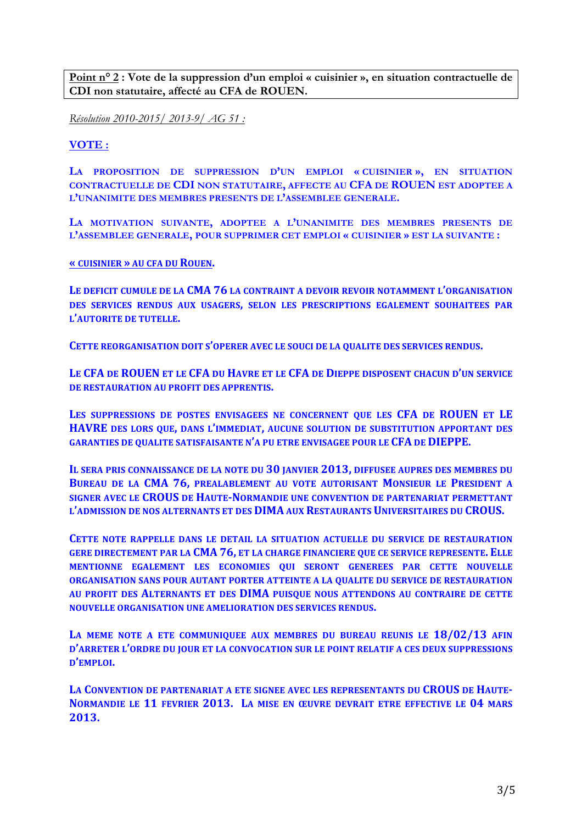**Point n° 2 : Vote de la suppression d'un emploi « cuisinier », en situation contractuelle de CDI non statutaire, affecté au CFA de ROUEN.**

*Résolution 2010-2015/ 2013-9/ AG 51 :* 

**VOTE :**

**LA PROPOSITION DE SUPPRESSION D'UN EMPLOI « CUISINIER », EN SITUATION CONTRACTUELLE DE CDI NON STATUTAIRE, AFFECTE AU CFA DE ROUEN EST ADOPTEE A L'UNANIMITE DES MEMBRES PRESENTS DE L'ASSEMBLEE GENERALE.**

**LA MOTIVATION SUIVANTE, ADOPTEE A L'UNANIMITE DES MEMBRES PRESENTS DE L'ASSEMBLEE GENERALE, POUR SUPPRIMER CET EMPLOI « CUISINIER » EST LA SUIVANTE :**

**« CUISINIER » AU CFA DU ROUEN.**

LE DEFICIT CUMULE DE LA CMA 76 LA CONTRAINT A DEVOIR REVOIR NOTAMMENT L'ORGANISATION **DES SERVICES RENDUS AUX USAGERS, SELON LES PRESCRIPTIONS EGALEMENT SOUHAITEES PAR L'AUTORITE DE TUTELLE.** 

**CETTE REORGANISATION DOIT S'OPERER AVEC LE SOUCI DE LA QUALITE DES SERVICES RENDUS.** 

LE CFA DE ROUEN ET LE CFA DU HAVRE ET LE CFA DE DIEPPE DISPOSENT CHACUN D'UN SERVICE **DE RESTAURATION AU PROFIT DES APPRENTIS.** 

LES SUPPRESSIONS DE POSTES ENVISAGEES NE CONCERNENT OUE LES CFA DE ROUEN ET LE **HAVRE** DES LORS QUE, DANS L'IMMEDIAT, AUCUNE SOLUTION DE SUBSTITUTION APPORTANT DES **GARANTIES DE QUALITE SATISFAISANTE N'A PU ETRE ENVISAGEE POUR LE CFA DE DIEPPE.** 

**IL SERA PRIS CONNAISSANCE DE LA NOTE DU 30 JANVIER 2013, DIFFUSEE AUPRES DES MEMBRES DU BUREAU DE LA CMA 76, PREALABLEMENT AU VOTE AUTORISANT MONSIEUR LE PRESIDENT A SIGNER AVEC LE CROUS DE HAUTE-NORMANDIE UNE CONVENTION DE PARTENARIAT PERMETTANT L'ADMISSION DE NOS ALTERNANTS ET DES DIMA AUX RESTAURANTS I INIVERSITAIRES DU CROIIS.** 

**CETTE NOTE RAPPELLE DANS LE DETAIL LA SITUATION ACTUELLE DU SERVICE DE RESTAURATION GERE DIRECTEMENT PAR LA CMA 76, ET LA CHARGE FINANCIERE QUE CE SERVICE REPRESENTE. ELLE MENTIONNE EGALEMENT LES ECONOMIES OUI SERONT GENEREES PAR CETTE NOUVELLE ORGANISATION SANS POUR AUTANT PORTER ATTEINTE A LA QUALITE DU SERVICE DE RESTAURATION** AU PROFIT DES ALTERNANTS ET DES DIMA PUISQUE NOUS ATTENDONS AU CONTRAIRE DE CETTE **NOUVELLE ORGANISATION UNE AMELIORATION DES SERVICES RENDUS.** 

LA MEME NOTE A ETE COMMUNIQUEE AUX MEMBRES DU BUREAU REUNIS LE  $18/02/13$  AFIN **D'ARRETER L'ORDRE DU JOUR ET LA CONVOCATION SUR LE POINT RELATIF A CES DEUX SUPPRESSIONS D'EMPLOI.**

**LA CONVENTION DE PARTENARIAT A ETE SIGNEE AVEC LES REPRESENTANTS DU CROUS DE HAUTE-NORMANDIE** LE 11 FEVRIER 2013. LA MISE EN ŒUVRE DEVRAIT ETRE EFFECTIVE LE 04 MARS **2013.**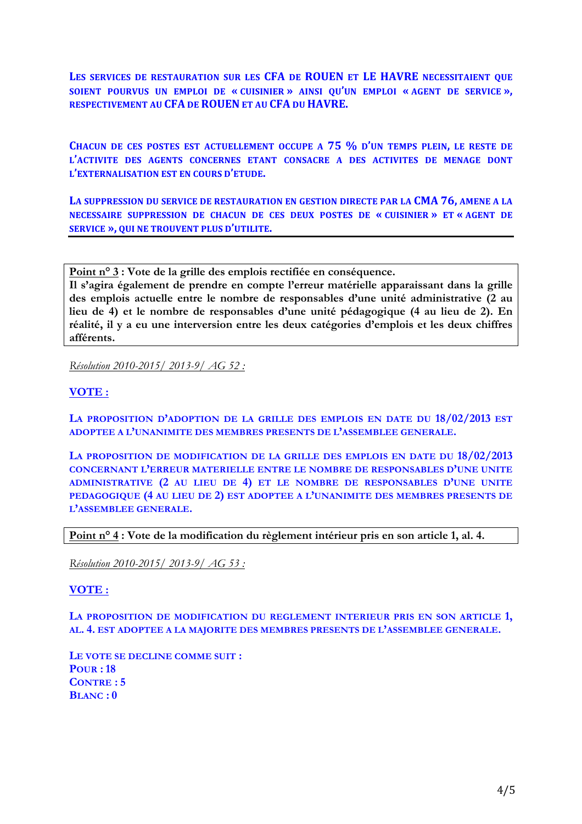LES SERVICES DE RESTAURATION SUR LES CFA DE ROUEN ET LE HAVRE NECESSITAIENT QUE **SOIENT POURVUS UN EMPLOI DE « CUISINIER » AINSI QU'UN EMPLOI « AGENT DE SERVICE », RESPECTIVEMENT AU CFA DE ROUEN ET AU CFA DU HAVRE.** 

**CHACUN DE CES POSTES EST ACTUELLEMENT OCCUPE A 75 % D'UN TEMPS PLEIN, LE RESTE DE L'ACTIVITE DES AGENTS CONCERNES ETANT CONSACRE A DES ACTIVITES DE MENAGE DONT L'EXTERNALISATION EST EN COURS D'ETUDE.** 

LA SUPPRESSION DU SERVICE DE RESTAURATION EN GESTION DIRECTE PAR LA CMA 76, AMENE A LA **NECESSAIRE SUPPRESSION DE CHACUN DE CES DEUX POSTES DE « CUISINIER » ET « AGENT DE SERVICE », QUI NE TROUVENT PLUS D'UTILITE.**

**Point n° 3 : Vote de la grille des emplois rectifiée en conséquence.** 

**Il s'agira également de prendre en compte l'erreur matérielle apparaissant dans la grille des emplois actuelle entre le nombre de responsables d'une unité administrative (2 au lieu de 4) et le nombre de responsables d'une unité pédagogique (4 au lieu de 2). En réalité, il y a eu une interversion entre les deux catégories d'emplois et les deux chiffres afférents.** 

*Résolution 2010-2015/ 2013-9/ AG 52 :* 

## **VOTE :**

**LA PROPOSITION D'ADOPTION DE LA GRILLE DES EMPLOIS EN DATE DU 18/02/2013 EST ADOPTEE A L'UNANIMITE DES MEMBRES PRESENTS DE L'ASSEMBLEE GENERALE.**

**LA PROPOSITION DE MODIFICATION DE LA GRILLE DES EMPLOIS EN DATE DU 18/02/2013 CONCERNANT L'ERREUR MATERIELLE ENTRE LE NOMBRE DE RESPONSABLES D'UNE UNITE ADMINISTRATIVE (2 AU LIEU DE 4) ET LE NOMBRE DE RESPONSABLES D'UNE UNITE PEDAGOGIQUE (4 AU LIEU DE 2) EST ADOPTEE A L'UNANIMITE DES MEMBRES PRESENTS DE L'ASSEMBLEE GENERALE.**

**Point n° 4 : Vote de la modification du règlement intérieur pris en son article 1, al. 4.**

*Résolution 2010-2015/ 2013-9/ AG 53 :* 

## **VOTE :**

**LA PROPOSITION DE MODIFICATION DU REGLEMENT INTERIEUR PRIS EN SON ARTICLE 1, AL. 4. EST ADOPTEE A LA MAJORITE DES MEMBRES PRESENTS DE L'ASSEMBLEE GENERALE.**

**LE VOTE SE DECLINE COMME SUIT : POUR : 18 CONTRE : 5 BLANC : 0**